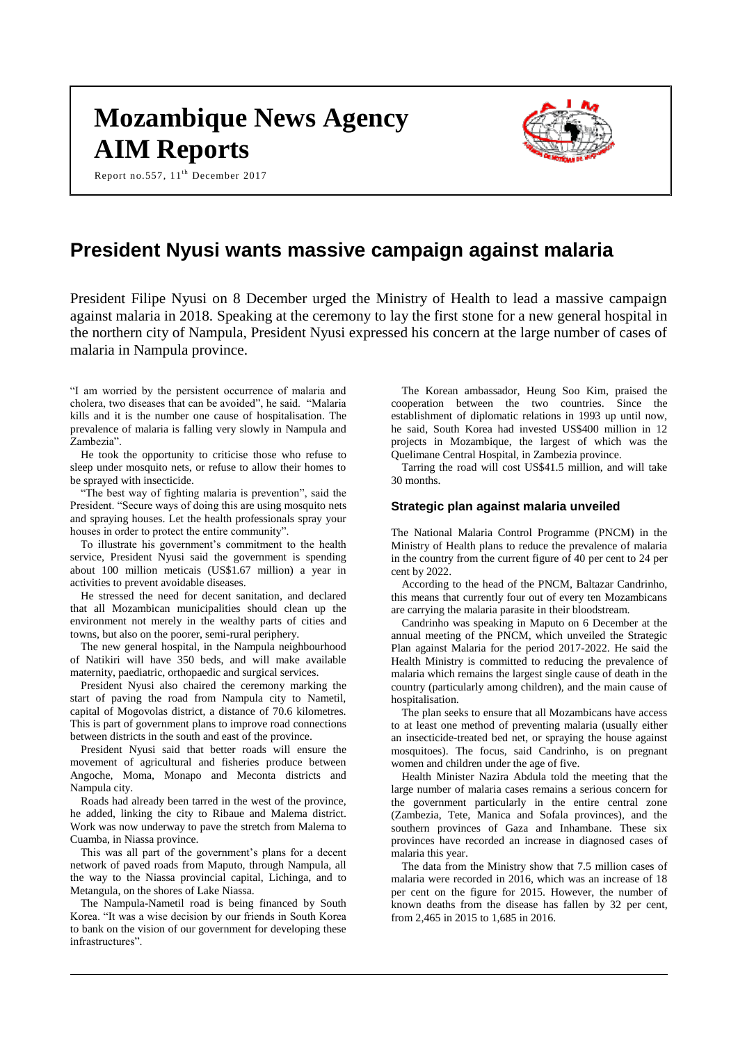# **Mozambique News Agency AIM Reports**

Report no.557, 11<sup>th</sup> December 2017



# **President Nyusi wants massive campaign against malaria**

President Filipe Nyusi on 8 December urged the Ministry of Health to lead a massive campaign against malaria in 2018. Speaking at the ceremony to lay the first stone for a new general hospital in the northern city of Nampula, President Nyusi expressed his concern at the large number of cases of malaria in Nampula province.

"I am worried by the persistent occurrence of malaria and cholera, two diseases that can be avoided", he said. "Malaria kills and it is the number one cause of hospitalisation. The prevalence of malaria is falling very slowly in Nampula and Zambezia".

He took the opportunity to criticise those who refuse to sleep under mosquito nets, or refuse to allow their homes to be sprayed with insecticide.

"The best way of fighting malaria is prevention", said the President. "Secure ways of doing this are using mosquito nets and spraying houses. Let the health professionals spray your houses in order to protect the entire community".

To illustrate his government's commitment to the health service, President Nyusi said the government is spending about 100 million meticais (US\$1.67 million) a year in activities to prevent avoidable diseases.

He stressed the need for decent sanitation, and declared that all Mozambican municipalities should clean up the environment not merely in the wealthy parts of cities and towns, but also on the poorer, semi-rural periphery.

The new general hospital, in the Nampula neighbourhood of Natikiri will have 350 beds, and will make available maternity, paediatric, orthopaedic and surgical services.

President Nyusi also chaired the ceremony marking the start of paving the road from Nampula city to Nametil, capital of Mogovolas district, a distance of 70.6 kilometres. This is part of government plans to improve road connections between districts in the south and east of the province.

President Nyusi said that better roads will ensure the movement of agricultural and fisheries produce between Angoche, Moma, Monapo and Meconta districts and Nampula city.

Roads had already been tarred in the west of the province, he added, linking the city to Ribaue and Malema district. Work was now underway to pave the stretch from Malema to Cuamba, in Niassa province.

This was all part of the government's plans for a decent network of paved roads from Maputo, through Nampula, all the way to the Niassa provincial capital, Lichinga, and to Metangula, on the shores of Lake Niassa.

The Nampula-Nametil road is being financed by South Korea. "It was a wise decision by our friends in South Korea to bank on the vision of our government for developing these infrastructures".

The Korean ambassador, Heung Soo Kim, praised the cooperation between the two countries. Since the establishment of diplomatic relations in 1993 up until now, he said, South Korea had invested US\$400 million in 12 projects in Mozambique, the largest of which was the Quelimane Central Hospital, in Zambezia province.

Tarring the road will cost US\$41.5 million, and will take 30 months.

#### **Strategic plan against malaria unveiled**

The National Malaria Control Programme (PNCM) in the Ministry of Health plans to reduce the prevalence of malaria in the country from the current figure of 40 per cent to 24 per cent by 2022.

According to the head of the PNCM, Baltazar Candrinho, this means that currently four out of every ten Mozambicans are carrying the malaria parasite in their bloodstream.

Candrinho was speaking in Maputo on 6 December at the annual meeting of the PNCM, which unveiled the Strategic Plan against Malaria for the period 2017-2022. He said the Health Ministry is committed to reducing the prevalence of malaria which remains the largest single cause of death in the country (particularly among children), and the main cause of hospitalisation.

The plan seeks to ensure that all Mozambicans have access to at least one method of preventing malaria (usually either an insecticide-treated bed net, or spraying the house against mosquitoes). The focus, said Candrinho, is on pregnant women and children under the age of five.

Health Minister Nazira Abdula told the meeting that the large number of malaria cases remains a serious concern for the government particularly in the entire central zone (Zambezia, Tete, Manica and Sofala provinces), and the southern provinces of Gaza and Inhambane. These six provinces have recorded an increase in diagnosed cases of malaria this year.

The data from the Ministry show that 7.5 million cases of malaria were recorded in 2016, which was an increase of 18 per cent on the figure for 2015. However, the number of known deaths from the disease has fallen by 32 per cent, from 2,465 in 2015 to 1,685 in 2016.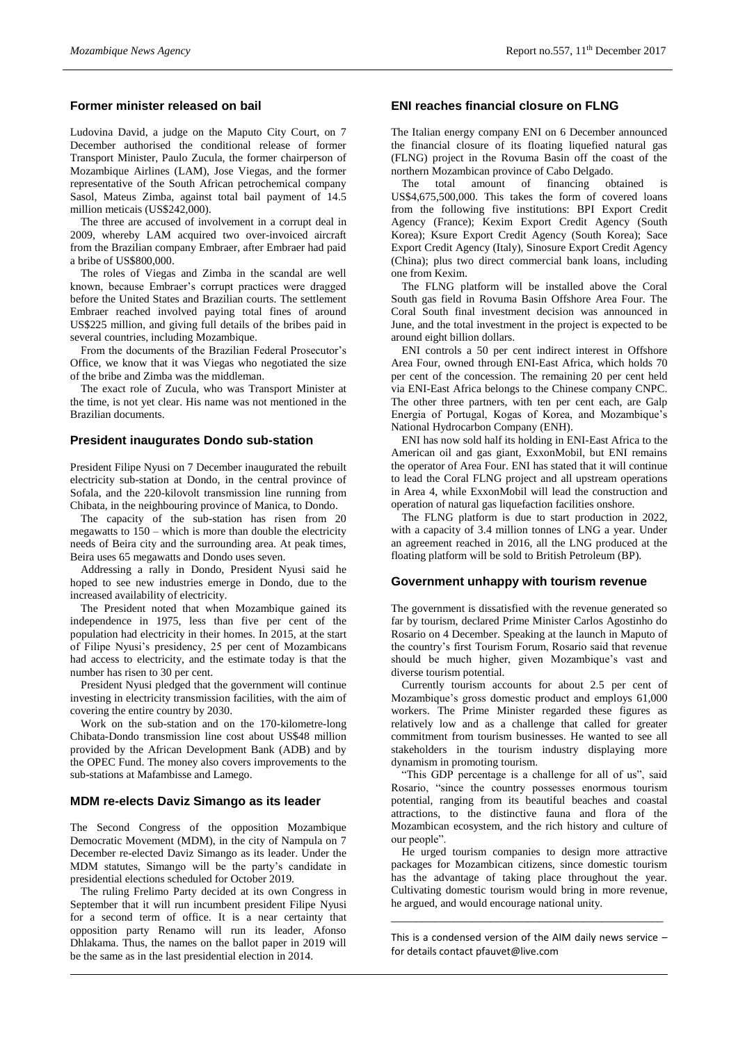# **Former minister released on bail**

Ludovina David, a judge on the Maputo City Court, on 7 December authorised the conditional release of former Transport Minister, Paulo Zucula, the former chairperson of Mozambique Airlines (LAM), Jose Viegas, and the former representative of the South African petrochemical company Sasol, Mateus Zimba, against total bail payment of 14.5 million meticais (US\$242,000).

The three are accused of involvement in a corrupt deal in 2009, whereby LAM acquired two over-invoiced aircraft from the Brazilian company Embraer, after Embraer had paid a bribe of US\$800,000.

The roles of Viegas and Zimba in the scandal are well known, because Embraer's corrupt practices were dragged before the United States and Brazilian courts. The settlement Embraer reached involved paying total fines of around US\$225 million, and giving full details of the bribes paid in several countries, including Mozambique.

From the documents of the Brazilian Federal Prosecutor's Office, we know that it was Viegas who negotiated the size of the bribe and Zimba was the middleman.

The exact role of Zucula, who was Transport Minister at the time, is not yet clear. His name was not mentioned in the Brazilian documents.

#### **President inaugurates Dondo sub-station**

President Filipe Nyusi on 7 December inaugurated the rebuilt electricity sub-station at Dondo, in the central province of Sofala, and the 220-kilovolt transmission line running from Chibata, in the neighbouring province of Manica, to Dondo.

The capacity of the sub-station has risen from 20 megawatts to 150 – which is more than double the electricity needs of Beira city and the surrounding area. At peak times, Beira uses 65 megawatts and Dondo uses seven.

Addressing a rally in Dondo, President Nyusi said he hoped to see new industries emerge in Dondo, due to the increased availability of electricity.

The President noted that when Mozambique gained its independence in 1975, less than five per cent of the population had electricity in their homes. In 2015, at the start of Filipe Nyusi's presidency, 25 per cent of Mozambicans had access to electricity, and the estimate today is that the number has risen to 30 per cent.

President Nyusi pledged that the government will continue investing in electricity transmission facilities, with the aim of covering the entire country by 2030.

Work on the sub-station and on the 170-kilometre-long Chibata-Dondo transmission line cost about US\$48 million provided by the African Development Bank (ADB) and by the OPEC Fund. The money also covers improvements to the sub-stations at Mafambisse and Lamego.

#### **MDM re-elects Daviz Simango as its leader**

The Second Congress of the opposition Mozambique Democratic Movement (MDM), in the city of Nampula on 7 December re-elected Daviz Simango as its leader. Under the MDM statutes, Simango will be the party's candidate in presidential elections scheduled for October 2019.

The ruling Frelimo Party decided at its own Congress in September that it will run incumbent president Filipe Nyusi for a second term of office. It is a near certainty that opposition party Renamo will run its leader, Afonso Dhlakama. Thus, the names on the ballot paper in 2019 will be the same as in the last presidential election in 2014.

# **ENI reaches financial closure on FLNG**

The Italian energy company ENI on 6 December announced the financial closure of its floating liquefied natural gas (FLNG) project in the Rovuma Basin off the coast of the northern Mozambican province of Cabo Delgado.<br>The total amount of financing ob

The total amount of financing obtained is US\$4,675,500,000. This takes the form of covered loans from the following five institutions: BPI Export Credit Agency (France); Kexim Export Credit Agency (South Korea); Ksure Export Credit Agency (South Korea); Sace Export Credit Agency (Italy), Sinosure Export Credit Agency (China); plus two direct commercial bank loans, including one from Kexim.

The FLNG platform will be installed above the Coral South gas field in Rovuma Basin Offshore Area Four. The Coral South final investment decision was announced in June, and the total investment in the project is expected to be around eight billion dollars.

ENI controls a 50 per cent indirect interest in Offshore Area Four, owned through ENI-East Africa, which holds 70 per cent of the concession. The remaining 20 per cent held via ENI-East Africa belongs to the Chinese company CNPC. The other three partners, with ten per cent each, are Galp Energia of Portugal, Kogas of Korea, and Mozambique's National Hydrocarbon Company (ENH).

ENI has now sold half its holding in ENI-East Africa to the American oil and gas giant, ExxonMobil, but ENI remains the operator of Area Four. ENI has stated that it will continue to lead the Coral FLNG project and all upstream operations in Area 4, while ExxonMobil will lead the construction and operation of natural gas liquefaction facilities onshore.

The FLNG platform is due to start production in 2022, with a capacity of 3.4 million tonnes of LNG a year. Under an agreement reached in 2016, all the LNG produced at the floating platform will be sold to British Petroleum (BP).

#### **Government unhappy with tourism revenue**

The government is dissatisfied with the revenue generated so far by tourism, declared Prime Minister Carlos Agostinho do Rosario on 4 December. Speaking at the launch in Maputo of the country's first Tourism Forum, Rosario said that revenue should be much higher, given Mozambique's vast and diverse tourism potential.

Currently tourism accounts for about 2.5 per cent of Mozambique's gross domestic product and employs 61,000 workers. The Prime Minister regarded these figures as relatively low and as a challenge that called for greater commitment from tourism businesses. He wanted to see all stakeholders in the tourism industry displaying more dynamism in promoting tourism.

"This GDP percentage is a challenge for all of us", said Rosario, "since the country possesses enormous tourism potential, ranging from its beautiful beaches and coastal attractions, to the distinctive fauna and flora of the Mozambican ecosystem, and the rich history and culture of our people".

He urged tourism companies to design more attractive packages for Mozambican citizens, since domestic tourism has the advantage of taking place throughout the year. Cultivating domestic tourism would bring in more revenue, he argued, and would encourage national unity.

This is a condensed version of the AIM daily news service  $$ for details contact [pfauvet@live.com](mailto:pfauvet@live.com)

\_\_\_\_\_\_\_\_\_\_\_\_\_\_\_\_\_\_\_\_\_\_\_\_\_\_\_\_\_\_\_\_\_\_\_\_\_\_\_\_\_\_\_\_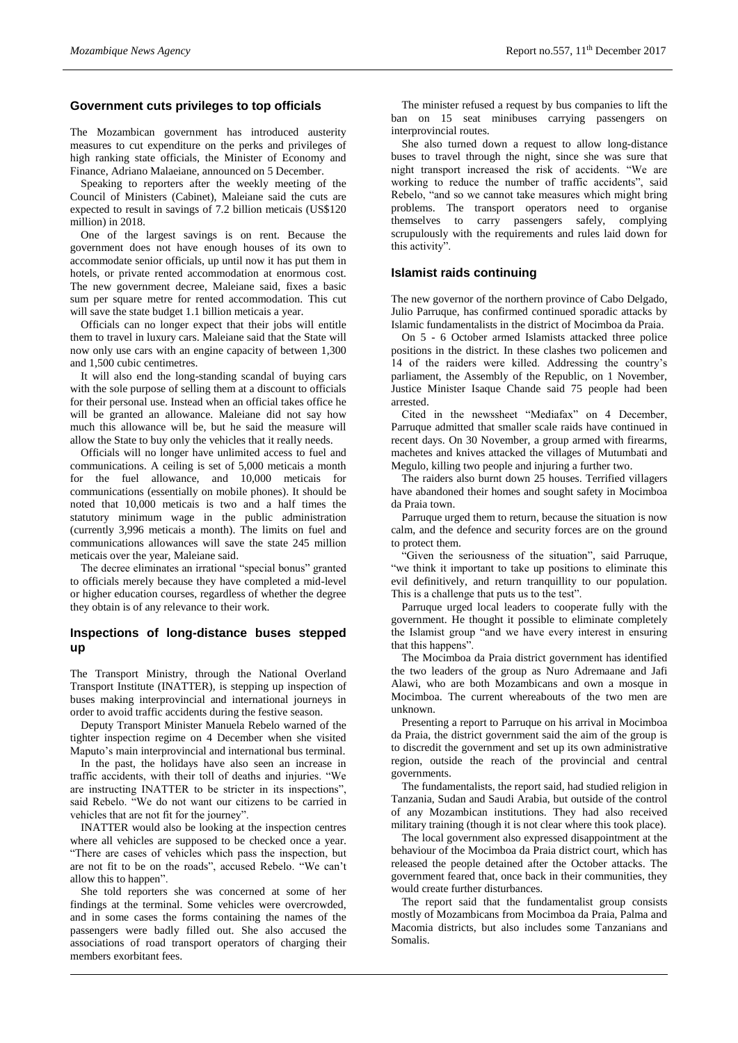#### **Government cuts privileges to top officials**

The Mozambican government has introduced austerity measures to cut expenditure on the perks and privileges of high ranking state officials, the Minister of Economy and Finance, Adriano Malaeiane, announced on 5 December.

Speaking to reporters after the weekly meeting of the Council of Ministers (Cabinet), Maleiane said the cuts are expected to result in savings of 7.2 billion meticais (US\$120 million) in 2018.

One of the largest savings is on rent. Because the government does not have enough houses of its own to accommodate senior officials, up until now it has put them in hotels, or private rented accommodation at enormous cost. The new government decree, Maleiane said, fixes a basic sum per square metre for rented accommodation. This cut will save the state budget 1.1 billion meticais a year.

Officials can no longer expect that their jobs will entitle them to travel in luxury cars. Maleiane said that the State will now only use cars with an engine capacity of between 1,300 and 1,500 cubic centimetres.

It will also end the long-standing scandal of buying cars with the sole purpose of selling them at a discount to officials for their personal use. Instead when an official takes office he will be granted an allowance. Maleiane did not say how much this allowance will be, but he said the measure will allow the State to buy only the vehicles that it really needs.

Officials will no longer have unlimited access to fuel and communications. A ceiling is set of 5,000 meticais a month for the fuel allowance, and 10,000 meticais for communications (essentially on mobile phones). It should be noted that 10,000 meticais is two and a half times the statutory minimum wage in the public administration (currently 3,996 meticais a month). The limits on fuel and communications allowances will save the state 245 million meticais over the year, Maleiane said.

The decree eliminates an irrational "special bonus" granted to officials merely because they have completed a mid-level or higher education courses, regardless of whether the degree they obtain is of any relevance to their work.

# **Inspections of long-distance buses stepped up**

The Transport Ministry, through the National Overland Transport Institute (INATTER), is stepping up inspection of buses making interprovincial and international journeys in order to avoid traffic accidents during the festive season.

Deputy Transport Minister Manuela Rebelo warned of the tighter inspection regime on 4 December when she visited Maputo's main interprovincial and international bus terminal.

In the past, the holidays have also seen an increase in traffic accidents, with their toll of deaths and injuries. "We are instructing INATTER to be stricter in its inspections", said Rebelo. "We do not want our citizens to be carried in vehicles that are not fit for the journey".

INATTER would also be looking at the inspection centres where all vehicles are supposed to be checked once a year. "There are cases of vehicles which pass the inspection, but are not fit to be on the roads", accused Rebelo. "We can't allow this to happen".

She told reporters she was concerned at some of her findings at the terminal. Some vehicles were overcrowded, and in some cases the forms containing the names of the passengers were badly filled out. She also accused the associations of road transport operators of charging their members exorbitant fees.

The minister refused a request by bus companies to lift the ban on 15 seat minibuses carrying passengers on interprovincial routes.

She also turned down a request to allow long-distance buses to travel through the night, since she was sure that night transport increased the risk of accidents. "We are working to reduce the number of traffic accidents", said Rebelo, "and so we cannot take measures which might bring problems. The transport operators need to organise themselves to carry passengers safely, complying scrupulously with the requirements and rules laid down for this activity".

#### **Islamist raids continuing**

The new governor of the northern province of Cabo Delgado, Julio Parruque, has confirmed continued sporadic attacks by Islamic fundamentalists in the district of Mocimboa da Praia.

On 5 - 6 October armed Islamists attacked three police positions in the district. In these clashes two policemen and 14 of the raiders were killed. Addressing the country's parliament, the Assembly of the Republic, on 1 November, Justice Minister Isaque Chande said 75 people had been arrested.

Cited in the newssheet "Mediafax" on 4 December, Parruque admitted that smaller scale raids have continued in recent days. On 30 November, a group armed with firearms, machetes and knives attacked the villages of Mutumbati and Megulo, killing two people and injuring a further two.

The raiders also burnt down 25 houses. Terrified villagers have abandoned their homes and sought safety in Mocimboa da Praia town.

Parruque urged them to return, because the situation is now calm, and the defence and security forces are on the ground to protect them.

"Given the seriousness of the situation", said Parruque, "we think it important to take up positions to eliminate this evil definitively, and return tranquillity to our population. This is a challenge that puts us to the test".

Parruque urged local leaders to cooperate fully with the government. He thought it possible to eliminate completely the Islamist group "and we have every interest in ensuring that this happens".

The Mocimboa da Praia district government has identified the two leaders of the group as Nuro Adremaane and Jafi Alawi, who are both Mozambicans and own a mosque in Mocimboa. The current whereabouts of the two men are unknown.

Presenting a report to Parruque on his arrival in Mocimboa da Praia, the district government said the aim of the group is to discredit the government and set up its own administrative region, outside the reach of the provincial and central governments.

The fundamentalists, the report said, had studied religion in Tanzania, Sudan and Saudi Arabia, but outside of the control of any Mozambican institutions. They had also received military training (though it is not clear where this took place).

The local government also expressed disappointment at the behaviour of the Mocimboa da Praia district court, which has released the people detained after the October attacks. The government feared that, once back in their communities, they would create further disturbances.

The report said that the fundamentalist group consists mostly of Mozambicans from Mocimboa da Praia, Palma and Macomia districts, but also includes some Tanzanians and Somalis.